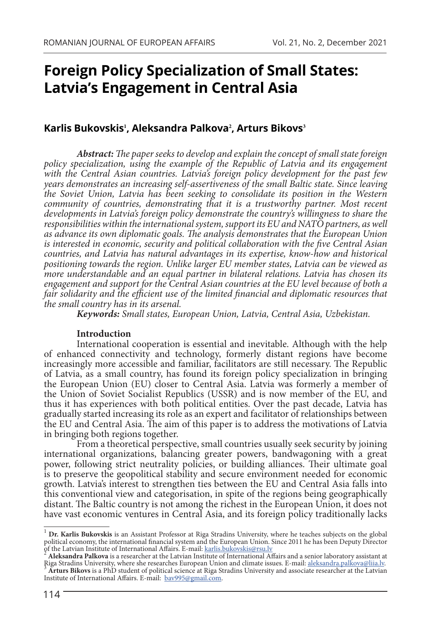# **Foreign Policy Specialization of Small States: Latvia's Engagement in Central Asia**

## **Karlis Bukovskis<sup>1</sup> , Aleksandra Palkova<sup>2</sup> , Arturs Bikovs<sup>3</sup>**

*Abstract: The paper seeks to develop and explain the concept of small state foreign*  policy specialization, using the example of the Republic of Latvia and its engagement *with the Central Asian countries. Latvia's foreign policy development for the past few years demonstrates an increasing self-assertiveness of the small Baltic state. Since leaving the Soviet Union, Latvia has been seeking to consolidate its position in the Western community of countries, demonstrating that it is a trustworthy partner. Most recent developments in Latvia's foreign policy demonstrate the country's willingness to share the responsibilities within the international system, support its EU and NATO partners, as well as advance its own diplomatic goals. The analysis demonstrates that the European Union is interested in economic, security and political collaboration with the five Central Asian countries, and Latvia has natural advantages in its expertise, know-how and historical positioning towards the region. Unlike larger EU member states, Latvia can be viewed as more understandable and an equal partner in bilateral relations. Latvia has chosen its engagement and support for the Central Asian countries at the EU level because of both a*  fair solidarity and the efficient use of the limited financial and diplomatic resources that *the small country has in its arsenal.*

*Keywords: Small states, European Union, Latvia, Central Asia, Uzbekistan.*

#### **Introduction**

International cooperation is essential and inevitable. Although with the help of enhanced connectivity and technology, formerly distant regions have become increasingly more accessible and familiar, facilitators are still necessary. The Republic of Latvia, as a small country, has found its foreign policy specialization in bringing the European Union (EU) closer to Central Asia. Latvia was formerly a member of the Union of Soviet Socialist Republics (USSR) and is now member of the EU, and thus it has experiences with both political entities. Over the past decade, Latvia has gradually started increasing its role as an expert and facilitator of relationships between the EU and Central Asia. The aim of this paper is to address the motivations of Latvia in bringing both regions together.

From a theoretical perspective, small countries usually seek security by joining international organizations, balancing greater powers, bandwagoning with a great power, following strict neutrality policies, or building alliances. Their ultimate goal is to preserve the geopolitical stability and secure environment needed for economic growth. Latvia's interest to strengthen ties between the EU and Central Asia falls into this conventional view and categorisation, in spite of the regions being geographically distant. The Baltic country is not among the richest in the European Union, it does not have vast economic ventures in Central Asia, and its foreign policy traditionally lacks

<sup>1</sup> **Dr. Karlis Bukovskis** is an Assistant Professor at Riga Stradins University, where he teaches subjects on the global political economy, the international financial system and the European Union. Since 2011 he has been Deputy Director of the Latvian Institute of International Affairs. E-mail: [karlis.bukovskis@rsu.lv](mailto:karlis.bukovskis@rsu.lv) <sup>2</sup> **Aleksandra Palkova** is a researcher at the Latvian Institute of International Affairs and a senior laboratory assistant at

Riga Stradins University, where she researches European Union and climate issues. E-mail: aleksandra.palkova@liia.ly.<br><sup>3</sup> Arturs Bikovs is a PhD student of political science at Riga Stradins University and associate resear Institute of International Affairs. E-mail: [bav995@gmail.com.](mailto:bav995@gmail.com)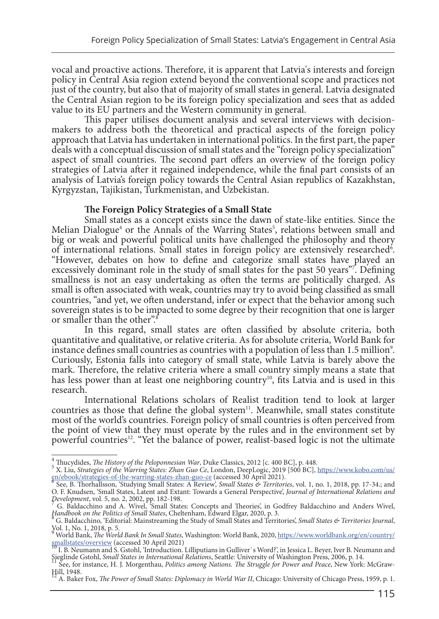vocal and proactive actions. Therefore, it is apparent that Latvia's interests and foreign policy in Central Asia region extend beyond the conventional scope and practices not just of the country, but also that of majority of small states in general. Latvia designated the Central Asian region to be its foreign policy specialization and sees that as added value to its EU partners and the Western community in general.

This paper utilises document analysis and several interviews with decisionmakers to address both the theoretical and practical aspects of the foreign policy approach that Latvia has undertaken in international politics. In the first part, the paper deals with a conceptual discussion of small states and the "foreign policy specialization" aspect of small countries. The second part offers an overview of the foreign policy strategies of Latvia after it regained independence, while the final part consists of an analysis of Latvia's foreign policy towards the Central Asian republics of Kazakhstan, Kyrgyzstan, Tajikistan, Turkmenistan, and Uzbekistan.

#### **The Foreign Policy Strategies of a Small State**

Small states as a concept exists since the dawn of state-like entities. Since the Melian Dialogue<sup>4</sup> or the Annals of the Warring States<sup>5</sup>, relations between small and big or weak and powerful political units have challenged the philosophy and theory of international relations. Small states in foreign policy are extensively researched<sup>6</sup>. "However, debates on how to define and categorize small states have played an excessively dominant role in the study of small states for the past 50 years". Defining smallness is not an easy undertaking as often the terms are politically charged. As small is often associated with weak, countries may try to avoid being classified as small countries, "and yet, we often understand, infer or expect that the behavior among such sovereign states is to be impacted to some degree by their recognition that one is larger or smaller than the other".<sup>8</sup>

In this regard, small states are often classified by absolute criteria, both quantitative and qualitative, or relative criteria. As for absolute criteria, World Bank for instance defines small countries as countries with a population of less than 1.5 million<sup>9</sup>. Curiously, Estonia falls into category of small state, while Latvia is barely above the mark. Therefore, the relative criteria where a small country simply means a state that has less power than at least one neighboring country<sup>10</sup>, fits Latvia and is used in this research.

International Relations scholars of Realist tradition tend to look at larger countries as those that define the global system $11$ . Meanwhile, small states constitute most of the world's countries. Foreign policy of small countries is often perceived from the point of view that they must operate by the rules and in the environment set by powerful countries<sup>12</sup>. "Yet the balance of power, realist-based logic is not the ultimate

<sup>&</sup>lt;sup>4</sup> Thucydides, *The History of the Peloponnesian War*, Duke Classics, 2012 [c. 400 BC], p. 448.<br><sup>5</sup> X. Liu, *Strategies of the Warring States: Zhan Guo Ce*, London, DeepLogic, 2019 [500 BC], <u>[https://www.kobo.com/us/](https://www.kobo.com/us/en/ebook/strategies-of-the-warring-states-zhan-guo-ce)</u> [en/ebook/strategies-of-the-warring-states-zhan-guo-ce](https://www.kobo.com/us/en/ebook/strategies-of-the-warring-states-zhan-guo-ce) (accessed 30 April 2021). <sup>6</sup> See, B. Thorhallsson, 'Studying Small States: A Review', *Small States & Territories*, vol. 1, no. 1, 2018, pp. 17-34.; and

O. F. Knudsen, 'Small States, Latent and Extant: Towards a General Perspective', *Journal of International Relations and* 

*Development*, vol. 5, no. 2, 2002, pp. 182-198. <sup>7</sup> G. Baldacchino and A. Wivel, 'Small States: Concepts and Theories', in Godfrey Baldacchino and Anders Wivel, *Handbook on the Politics of Small States*, Cheltenham, Edward Elgar, 2020, p. 3.

G. Baldacchino, 'Editorial: Mainstreaming the Study of Small States and Territories', *Small States & Territories Journal*, Vol. 1, No. 1, 2018, p. 5.<br><sup>9</sup> Werld Penk. *The Werl* 

World Bank, *The World Bank In Small States*, Washington: World Bank, 2020, [https://www.worldbank.org/en/country/](https://www.worldbank.org/en/country/smallstates/overview) [smallstates/overview](https://www.worldbank.org/en/country/smallstates/overview) (accessed 30 April 2021)<br><sup>10</sup> I. B. Neumann and S. Gstohl, 'Introduction. Lilliputians in Gulliver`s Word?', in Jessica L. Beyer, Iver B. Neumann and

Sieglinde Gstohl, Small States in International Relations, Seattle: University of Washington Press, 2006, p. 14.<br>See, for instance, H. J. Morgenthau, Politics among Nations. The Struggle for Power and Peace, New York: McGr

Hill, 1948.

<sup>12</sup> A. Baker Fox, *The Power of Small States: Diplomacy in World War II*, Chicago: University of Chicago Press, 1959, p. 1.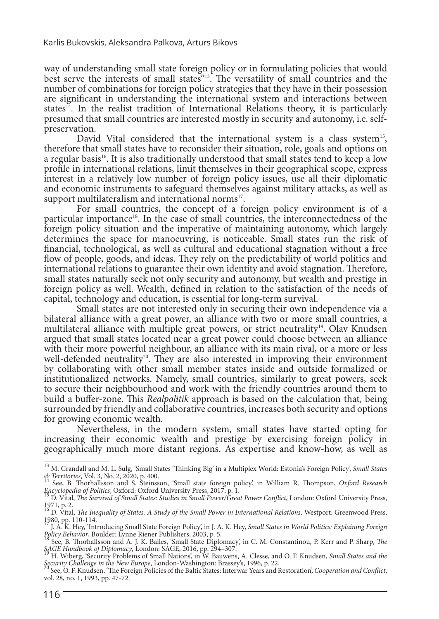way of understanding small state foreign policy or in formulating policies that would best serve the interests of small states"13. The versatility of small countries and the number of combinations for foreign policy strategies that they have in their possession are significant in understanding the international system and interactions between states<sup>14</sup>. In the realist tradition of International Relations theory, it is particularly presumed that small countries are interested mostly in security and autonomy, i.e. selfpreservation.<br>David Vital considered that the international system is a class system<sup>15</sup>,

therefore that small states have to reconsider their situation, role, goals and options on a regular basis<sup>16</sup>. It is also traditionally understood that small states tend to keep a low profile in international relations, limit themselves in their geographical scope, express interest in a relatively low number of foreign policy issues, use all their diplomatic and economic instruments to safeguard themselves against military attacks, as well as support multilateralism and international norms $17$ .

For small countries, the concept of a foreign policy environment is of a particular importance<sup>18</sup>. In the case of small countries, the interconnectedness of the foreign policy situation and the imperative of maintaining autonomy, which largely determines the space for manoeuvring, is noticeable. Small states run the risk of financial, technological, as well as cultural and educational stagnation without a free flow of people, goods, and ideas. They rely on the predictability of world politics and international relations to guarantee their own identity and avoid stagnation. Therefore, small states naturally seek not only security and autonomy, but wealth and prestige in foreign policy as well. Wealth, defined in relation to the satisfaction of the needs of capital, technology and education, is essential for long-term survival.

Small states are not interested only in securing their own independence via a bilateral alliance with a great power, an alliance with two or more small countries, a multilateral alliance with multiple great powers, or strict neutrality<sup>19</sup>. Olav Knudsen argued that small states located near a great power could choose between an alliance with their more powerful neighbour, an alliance with its main rival, or a more or less well-defended neutrality<sup>20</sup>. They are also interested in improving their environment by collaborating with other small member states inside and outside formalized or institutionalized networks. Namely, small countries, similarly to great powers, seek to secure their neighbourhood and work with the friendly countries around them to build a buffer-zone. This *Realpolitik* approach is based on the calculation that, being surrounded by friendly and collaborative countries, increases both security and options for growing economic wealth.

Nevertheless, in the modern system, small states have started opting for increasing their economic wealth and prestige by exercising foreign policy in geographically much more distant regions. As expertise and know-how, as well as

<sup>13</sup> M. Crandall and M. L. Sulg, 'Small States 'Thinking Big' in a Multiplex World: Estonia's Foreign Policy', *Small States* 

*<sup>&</sup>amp; Territories*, Vol. 3, No. 2, 2020, p. 400. 14 See, B. Thorhallsson and S. Steinsson, 'Small state foreign policy', in William R. Thompson, *Oxford Research Encyclopedia of Politics*, Oxford: Oxford University Press, 201

*Encyclopedia of Politics*, Oxford: Oxford University Press, 2017, p. 1. 15 D. Vital, *The Survival of Small States: Studies in Small Power/Great Power Conflict*, London: Oxford University Press, 1971, p. 2. 16 D. Vital, *The Inequality of States. A Study of the Small Power in International Relations*, Westport: Greenwood Press,

<sup>1980,</sup> pp. 110-114.

<sup>17</sup> J. A. K. Hey, 'Introducing Small State Foreign Policy', in J. A. K. Hey, *Small States in World Politics: Explaining Foreign Policy Behavior*, Boulder: Lynne Riener Publishers, 2003, p. 5. 18 See, B. Thorhallsson and A. J. K. Bailes, 'Small State Diplomacy', in C. M. Constantinou, P. Kerr and P. Sharp, *The* 

*SAGE Handbook of Diplomacy*, London: SAGE, 2016, pp. 294–307.<br><sup>19</sup> H. Wiberg, 'Security Problems of Small Nations', in W. Bauwens, A. Clesse, and O. F. Knudsen, *Small States and the*<br>*Security Challenge in the New Europe* 

See, O. F. Knudsen, 'The Foreign Policies of the Baltic States: Interwar Years and Restoration', *Cooperation and Conflict*, vol. 28, no. 1, 1993, pp. 47-72.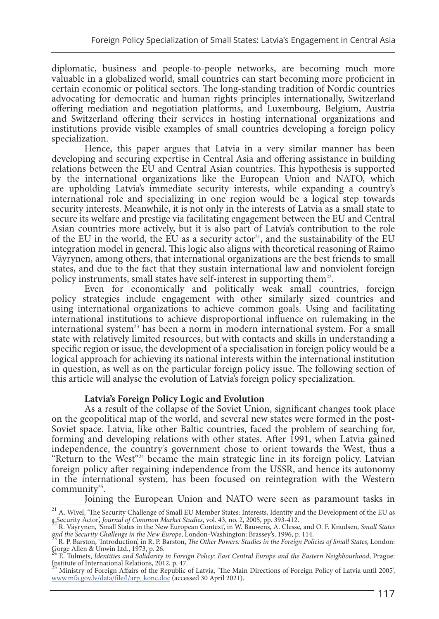diplomatic, business and people-to-people networks, are becoming much more valuable in a globalized world, small countries can start becoming more proficient in certain economic or political sectors. The long-standing tradition of Nordic countries advocating for democratic and human rights principles internationally, Switzerland offering mediation and negotiation platforms, and Luxembourg, Belgium, Austria and Switzerland offering their services in hosting international organizations and institutions provide visible examples of small countries developing a foreign policy specialization.

Hence, this paper argues that Latvia in a very similar manner has been developing and securing expertise in Central Asia and offering assistance in building relations between the EU and Central Asian countries. This hypothesis is supported by the international organizations like the European Union and NATO, which are upholding Latvia's immediate security interests, while expanding a country's international role and specializing in one region would be a logical step towards security interests. Meanwhile, it is not only in the interests of Latvia as a small state to secure its welfare and prestige via facilitating engagement between the EU and Central Asian countries more actively, but it is also part of Latvia's contribution to the role of the EU in the world, the EU as a security  $actor<sup>21</sup>$ , and the sustainability of the EU integration model in general. This logic also aligns with theoretical reasoning of Raimo Väyrynen, among others, that international organizations are the best friends to small states, and due to the fact that they sustain international law and nonviolent foreign policy instruments, small states have self-interest in supporting them<sup>22</sup>.

Even for economically and politically weak small countries, foreign policy strategies include engagement with other similarly sized countries and using international organizations to achieve common goals. Using and facilitating international institutions to achieve disproportional influence on rulemaking in the international system<sup>23</sup> has been a norm in modern international system. For a small state with relatively limited resources, but with contacts and skills in understanding a specific region or issue, the development of a specialisation in foreign policy would be a logical approach for achieving its national interests within the international institution in question, as well as on the particular foreign policy issue. The following section of this article will analyse the evolution of Latvia's foreign policy specialization.

#### **Latvia's Foreign Policy Logic and Evolution**

As a result of the collapse of the Soviet Union, significant changes took place on the geopolitical map of the world, and several new states were formed in the post-Soviet space. Latvia, like other Baltic countries, faced the problem of searching for, forming and developing relations with other states. After 1991, when Latvia gained independence, the country's government chose to orient towards the West, thus a "Return to the West"<sup>24</sup> became the main strategic line in its foreign policy. Latvian foreign policy after regaining independence from the USSR, and hence its autonomy in the international system, has been focused on reintegration with the Western community<sup>25</sup>.

Joining the European Union and NATO were seen as paramount tasks in  $21$  A. Wivel, 'The Security Challenge of Small EU Member States: Interests, Identity and the Development of the EU as

a Security Actor', *Journal of Common Market Studies*, vol. 43, no. 2, 2005, pp. 393-412.<br><sup>22</sup> R. Väyrynen, 'Small States in the New European Context', in W. Bauwens, A. Clesse, and O. F. Knudsen, *Small States* and the Security Challenge in the New Europe, London-Washington: Brassey's, 1996, p. 114.<br><sup>23</sup> R. P. Barston, 'Introduction', in R. P. Barston, *The Other Powers: Studies in the Foreign Policies of Small States,* London:

Gorge Allen & Unwin Ltd., 1973, p. 26. 24 E. Tulmets, *Identities and Solidarity in Foreign Policy: East Central Europe and the Eastern Neighbourhood*, Prague: Institute of International Relations, 2012, p. 47.

<sup>25</sup> Ministry of Foreign Affairs of the Republic of Latvia, 'The Main Directions of Foreign Policy of Latvia until 2005', [www.mfa.gov.lv/data/file/l/arp\\_konc.doc](http://www.mfa.gov.lv/data/file/l/arp_konc.doc) (accessed 30 April 2021).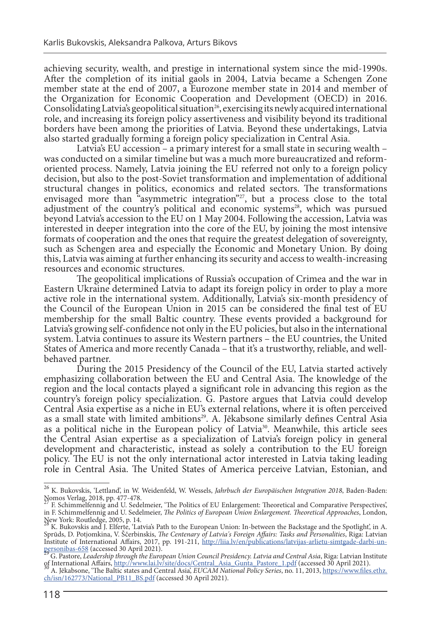achieving security, wealth, and prestige in international system since the mid-1990s. After the completion of its initial gaols in 2004, Latvia became a Schengen Zone member state at the end of 2007, a Eurozone member state in 2014 and member of the Organization for Economic Cooperation and Development (OECD) in 2016. Consolidating Latvia's geopolitical situation<sup>26</sup>, exercising its newly acquired international role, and increasing its foreign policy assertiveness and visibility beyond its traditional borders have been among the priorities of Latvia. Beyond these undertakings, Latvia also started gradually forming a foreign policy specialization in Central Asia.

Latvia's EU accession – a primary interest for a small state in securing wealth – was conducted on a similar timeline but was a much more bureaucratized and reformoriented process. Namely, Latvia joining the EU referred not only to a foreign policy decision, but also to the post-Soviet transformation and implementation of additional structural changes in politics, economics and related sectors. The transformations envisaged more than "asymmetric integration"<sup>27</sup>, but a process close to the total adjustment of the country's political and economic systems<sup>28</sup>, which was pursued beyond Latvia's accession to the EU on 1 May 2004. Following the accession, Latvia was interested in deeper integration into the core of the EU, by joining the most intensive formats of cooperation and the ones that require the greatest delegation of sovereignty, such as Schengen area and especially the Economic and Monetary Union. By doing this, Latvia was aiming at further enhancing its security and access to wealth-increasing resources and economic structures.

The geopolitical implications of Russia's occupation of Crimea and the war in Eastern Ukraine determined Latvia to adapt its foreign policy in order to play a more active role in the international system. Additionally, Latvia's six-month presidency of the Council of the European Union in 2015 can be considered the final test of EU membership for the small Baltic country. These events provided a background for Latvia's growing self-confidence not only in the EU policies, but also in the international system. Latvia continues to assure its Western partners – the EU countries, the United States of America and more recently Canada – that it's a trustworthy, reliable, and wellbehaved partner.

During the 2015 Presidency of the Council of the EU, Latvia started actively emphasizing collaboration between the EU and Central Asia. The knowledge of the region and the local contacts played a significant role in advancing this region as the country's foreign policy specialization. G. Pastore argues that Latvia could develop Central Asia expertise as a niche in EU's external relations, where it is often perceived as a small state with limited ambitions<sup>29</sup>. A. Jēkabsone similarly defines Central Asia as a political niche in the European policy of Latvia<sup>30</sup>. Meanwhile, this article sees the Central Asian expertise as a specialization of Latvia's foreign policy in general development and characteristic, instead as solely a contribution to the EU foreign policy. The EU is not the only international actor interested in Latvia taking leading role in Central Asia. The United States of America perceive Latvian, Estonian, and

<sup>26</sup> K. Bukovskis, 'Lettland', in W. Weidenfeld, W. Wessels, *Jahrbuch der Europäischen Integration 2018*, Baden-Baden:

Nomos Verlag, 2018, pp. 477-478. 27 F. Schimmelfennig and U. Sedelmeier, 'The Politics of EU Enlargement: Theoretical and Comparative Perspectives', in F. Schimmelfennig and U. Sedelmeier, *The Politics of European Union Enlargement. Theoretical Approaches*, London,

New York: Routledge, 2005, p. 14. 28 K. Bukovskis and J. Elferte, 'Latvia's Path to the European Union: In-between the Backstage and the Spotlight', in A. Sprūds, D. Potjomkina, V. Ščerbinskis, *The Centenary of Latvia's Foreign Affairs: Tasks and Personalities*, Riga: Latvian Institute of International Affairs, 2017, pp. 191-211, [http://liia.lv/en/publications/latvijas-arlietu-simtgade-darbi-un](http://liia.lv/en/publications/latvijas-arlietu-simtgade-darbi-un-personibas-658)[personibas-658](http://liia.lv/en/publications/latvijas-arlietu-simtgade-darbi-un-personibas-658) (accessed 30 April 2021). 29 G. Pastore, *Leadership through the European Union Council Presidency. Latvia and Central Asia*, Riga: Latvian Institute

of International Affairs, http://www.lai.ly/site/docs/Central Asia Gunta Pastore 1.pdf (accessed 30 April 2021).<br>30 A. Jēkabsone, 'The Baltic states and Central Asia', EUCAM National Policy Series, no. 11, 2013, https://ww

[ch/isn/162773/National\\_PB11\\_BS.pdf](https://www.files.ethz.ch/isn/162773/National_PB11_BS.pdf) (accessed 30 April 2021).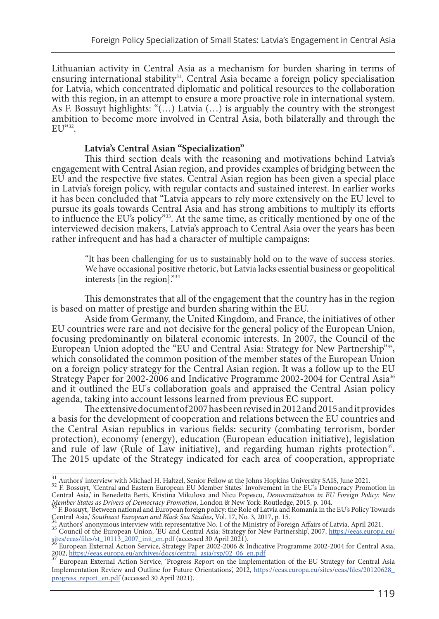Lithuanian activity in Central Asia as a mechanism for burden sharing in terms of ensuring international stability<sup>31</sup>. Central Asia became a foreign policy specialisation for Latvia, which concentrated diplomatic and political resources to the collaboration with this region, in an attempt to ensure a more proactive role in international system. As F. Bossuyt highlights: " $(...)$  Latvia  $(...)$  is arguably the country with the strongest ambition to become more involved in Central Asia, both bilaterally and through the EU"32.

#### **Latvia's Central Asian "Specialization"**

This third section deals with the reasoning and motivations behind Latvia's engagement with Central Asian region, and provides examples of bridging between the EU and the respective five states. Central Asian region has been given a special place in Latvia's foreign policy, with regular contacts and sustained interest. In earlier works it has been concluded that "Latvia appears to rely more extensively on the EU level to pursue its goals towards Central Asia and has strong ambitions to multiply its efforts to influence the EU's policy"33. At the same time, as critically mentioned by one of the interviewed decision makers, Latvia's approach to Central Asia over the years has been rather infrequent and has had a character of multiple campaigns:

"It has been challenging for us to sustainably hold on to the wave of success stories. We have occasional positive rhetoric, but Latvia lacks essential business or geopolitical interests [in the region]."<sup>34</sup>

This demonstrates that all of the engagement that the country has in the region is based on matter of prestige and burden sharing within the EU.

Aside from Germany, the United Kingdom, and France, the initiatives of other EU countries were rare and not decisive for the general policy of the European Union, focusing predominantly on bilateral economic interests. In 2007, the Council of the European Union adopted the "EU and Central Asia: Strategy for New Partnership"<sup>35</sup>, which consolidated the common position of the member states of the European Union on a foreign policy strategy for the Central Asian region. It was a follow up to the EU Strategy Paper for 2002-2006 and Indicative Programme 2002-2004 for Central Asia<sup>36</sup> and it outlined the EU's collaboration goals and appraised the Central Asian policy agenda, taking into account lessons learned from previous EC support.

The extensive document of 2007 has been revised in 2012 and 2015 and it provides a basis for the development of cooperation and relations between the EU countries and the Central Asian republics in various fields: security (combating terrorism, border protection), economy (energy), education (European education initiative), legislation and rule of law (Rule of Law initiative), and regarding human rights protection<sup>37</sup>. The 2015 update of the Strategy indicated for each area of cooperation, appropriate

 $\frac{31}{32}$  Authors' interview with Michael H. Haltzel, Senior Fellow at the Johns Hopkins University SAIS, June 2021.<br> $\frac{32}{32}$  F. Bossuyt, 'Central and Eastern European EU Member States' Involvement in the EU's Democr Central Asia,' in Benedetta Berti, Kristina Mikulova and Nicu Popescu, *Democratization in EU Foreign Policy: New* 

*Member States as Drivers of Democracy Promotion*, London & New York: Routledge, 2015, p. 104.<br><sup>33</sup> F. Bossuyt, 'Between national and European foreign policy: the Role of Latvia and Romania in the EU's Policy Towards

Authors' anonymous interview with representative No. 1 of the Ministry of Foreign Affairs of Latvia, April 2021.<br>
<sup>35</sup> Council of the European Union, 'EU and Central Asia: Strategy for New Partnership', 2007, https://eeas.

[sites/eeas/files/st\\_10113\\_2007\\_init\\_en.pdf](https://eeas.europa.eu/sites/eeas/files/st_10113_2007_init_en.pdf) (accessed 30 April 2021).<br><sup>36</sup> European External Action Service, Strategy Paper 2002-2006 & Indicative Programme 2002-2004 for Central Asia,<br>2002, https://eeas.europa.eu/archives/

<sup>2002,</sup> https://eeas.europa.eu/archives/docs/central\_asia\_central\_asia\_central\_asia<br><sup>37</sup> European External Action Service, 'Progress Report on the Implementation of the EU Strategy for Central Asia Implementation Review and Outline for Future Orientations', 2012, [https://eeas.europa.eu/sites/eeas/files/20120628\\_](https://eeas.europa.eu/sites/eeas/files/20120628_progress_report_en.pdf) [progress\\_report\\_en.pdf](https://eeas.europa.eu/sites/eeas/files/20120628_progress_report_en.pdf) (accessed 30 April 2021).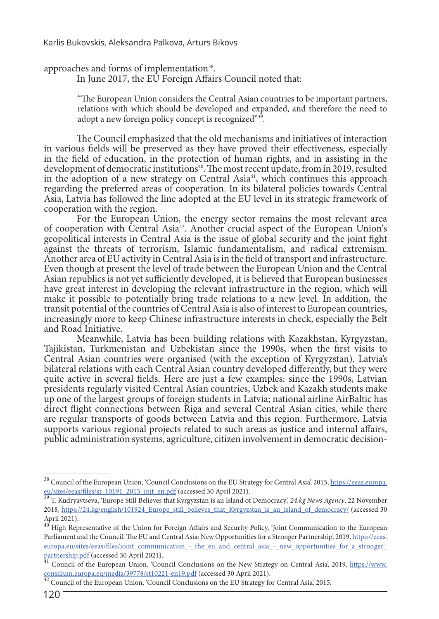approaches and forms of implementation<sup>38</sup>.<br>In June 2017, the EU Foreign Affairs Council noted that:

"The European Union considers the Central Asian countries to be important partners, relations with which should be developed and expanded, and therefore the need to adopt a new foreign policy concept is recognized"<sup>39</sup>.

The Council emphasized that the old mechanisms and initiatives of interaction in various fields will be preserved as they have proved their effectiveness, especially in the field of education, in the protection of human rights, and in assisting in the development of democratic institutions<sup>40</sup>. The most recent update, from in 2019, resulted in the adoption of a new strategy on Central Asia<sup>41</sup>, which continues this approach regarding the preferred areas of cooperation. In its bilateral policies towards Central Asia, Latvia has followed the line adopted at the EU level in its strategic framework of cooperation with the region.

For the European Union, the energy sector remains the most relevant area of cooperation with Central Asia42. Another crucial aspect of the European Union's geopolitical interests in Central Asia is the issue of global security and the joint fight against the threats of terrorism, Islamic fundamentalism, and radical extremism. Another area of EU activity in Central Asia is in the field of transport and infrastructure. Even though at present the level of trade between the European Union and the Central Asian republics is not yet sufficiently developed, it is believed that European businesses have great interest in developing the relevant infrastructure in the region, which will make it possible to potentially bring trade relations to a new level. In addition, the transit potential of the countries of Central Asia is also of interest to European countries, increasingly more to keep Chinese infrastructure interests in check, especially the Belt and Road Initiative.

Meanwhile, Latvia has been building relations with Kazakhstan, Kyrgyzstan, Tajikistan, Turkmenistan and Uzbekistan since the 1990s, when the first visits to Central Asian countries were organised (with the exception of Kyrgyzstan). Latvia's bilateral relations with each Central Asian country developed differently, but they were quite active in several fields. Here are just a few examples: since the 1990s, Latvian presidents regularly visited Central Asian countries, Uzbek and Kazakh students make up one of the largest groups of foreign students in Latvia; national airline AirBaltic has direct flight connections between Riga and several Central Asian cities, while there are regular transports of goods between Latvia and this region. Furthermore, Latvia supports various regional projects related to such areas as justice and internal affairs, public administration systems, agriculture, citizen involvement in democratic decision-

<sup>&</sup>lt;sup>38</sup> Council of the European Union, 'Council Conclusions on the EU Strategy for Central Asia', 2015, <u>https://eeas.europa.</u><br>
<u><sup>39</sup> T. Kudruategy</u> (Europe 6: P.B. F. and T. Co. 2015).

T. Kudryavtseva, 'Europe Still Believes that Kyrgyzstan is an Island of Democracy', 24.kg News Agency, 22 November 2018, [https://24.kg/english/101924\\_Europe\\_still\\_believes\\_that\\_Kyrgyzstan\\_is\\_an\\_island\\_of\\_democracy/](https://24.kg/english/101924_Europe_still_believes_that_Kyrgyzstan_is_an_island_of_democracy/) (accessed 30 April 2021).

<sup>40</sup> High Representative of the Union for Foreign Affairs and Security Policy, 'Joint Communication to the European Parliament and the Council. The EU and Central Asia: New Opportunities for a Stronger Partnership', 2019, [https://eeas.](https://eeas.europa.eu/sites/eeas/files/joint_communication_-_the_eu_and_central_asia_-_new_opportunities_for_a_stronger_partnership.pdf) [europa.eu/sites/eeas/files/joint\\_communication\\_-\\_the\\_eu\\_and\\_central\\_asia\\_-\\_new\\_opportunities\\_for\\_a\\_stronger\\_](https://eeas.europa.eu/sites/eeas/files/joint_communication_-_the_eu_and_central_asia_-_new_opportunities_for_a_stronger_partnership.pdf) [partnership.pdf](https://eeas.europa.eu/sites/eeas/files/joint_communication_-_the_eu_and_central_asia_-_new_opportunities_for_a_stronger_partnership.pdf) (accessed 30 April 2021).<br><sup>41</sup> Council of the European Union, 'Council Conclusions on the New Strategy on Central Asia', 2019, [https://www.](https://www.consilium.europa.eu/media/39778/st10221-en19.pdf)

[consilium.europa.eu/media/39778/st10221-en19.pdf](https://www.consilium.europa.eu/media/39778/st10221-en19.pdf) (accessed 30 April 2021). 42 Council of the European Union, 'Council Conclusions on the EU Strategy for Central Asia', 2015.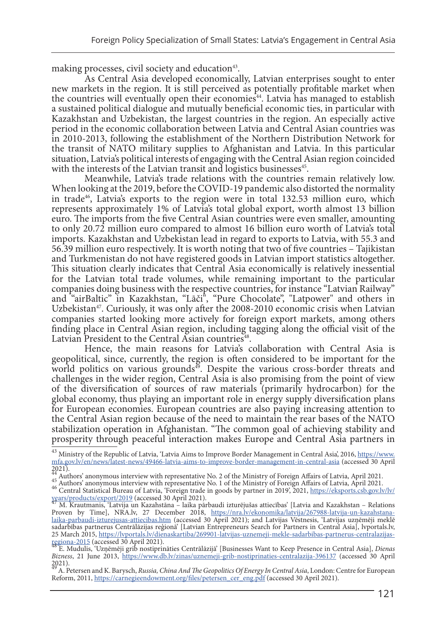making processes, civil society and education<sup>43</sup>.<br>As Central Asia developed economically, Latvian enterprises sought to enter new markets in the region. It is still perceived as potentially profitable market when the countries will eventually open their economies<sup>44</sup>. Latvia has managed to establish a sustained political dialogue and mutually beneficial economic ties, in particular with Kazakhstan and Uzbekistan, the largest countries in the region. An especially active period in the economic collaboration between Latvia and Central Asian countries was in 2010-2013, following the establishment of the Northern Distribution Network for the transit of NATO military supplies to Afghanistan and Latvia. In this particular situation, Latvia's political interests of engaging with the Central Asian region coincided with the interests of the Latvian transit and logistics businesses<sup>45</sup>.

Meanwhile, Latvia's trade relations with the countries remain relatively low. When looking at the 2019, before the COVID-19 pandemic also distorted the normality in trade $46$ , Latvia's exports to the region were in total 132.53 million euro, which represents approximately 1% of Latvia's total global export, worth almost 13 billion euro. The imports from the five Central Asian countries were even smaller, amounting to only 20.72 million euro compared to almost 16 billion euro worth of Latvia's total imports. Kazakhstan and Uzbekistan lead in regard to exports to Latvia, with 55.3 and 56.39 million euro respectively. It is worth noting that two of five countries – Tajikistan and Turkmenistan do not have registered goods in Latvian import statistics altogether. This situation clearly indicates that Central Asia economically is relatively inessential for the Latvian total trade volumes, while remaining important to the particular companies doing business with the respective countries, for instance "Latvian Railway" and "airBaltic" in Kazakhstan, "Lāči", "Pure Chocolate", "Latpower" and others in Uzbekistan $47$ . Curiously, it was only after the 2008-2010 economic crisis when Latvian companies started looking more actively for foreign export markets, among others finding place in Central Asian region, including tagging along the official visit of the

Hence, the main reasons for Latvia's collaboration with Central Asia is geopolitical, since, currently, the region is often considered to be important for the world politics on various grounds $\phi$ . Despite the various cross-border threats and challenges in the wider region, Central Asia is also promising from the point of view of the diversification of sources of raw materials (primarily hydrocarbon) for the global economy, thus playing an important role in energy supply diversification plans for European economies. European countries are also paying increasing attention to the Central Asian region because of the need to maintain the rear bases of the NATO stabilization operation in Afghanistan. "The common goal of achieving stability and prosperity through peaceful interaction makes Europe and Central Asia partners in

<sup>&</sup>lt;sup>43</sup> Ministry of the Republic of Latvia, 'Latvia Aims to Improve Border Management in Central Asia', 2016, <u>[https://www.](https://www.mfa.gov.lv/en/news/latest-news/49466-latvia-aims-to-improve-border-management-in-central-asia)</u> [mfa.gov.lv/en/news/latest-news/49466-latvia-aims-to-improve-border-management-in-central-asia](https://www.mfa.gov.lv/en/news/latest-news/49466-latvia-aims-to-improve-border-management-in-central-asia) (accessed 30 April 2021).

 $^{44}$  Authors' anonymous interview with representative No. 2 of the Ministry of Foreign Affairs of Latvia, April 2021.<br>45 Authors' anonymous interview with representative No. 1 of the Ministry of Foreign Affairs of Latvi

M. Krautmanis, 'Latvija un Kazahstāna - laika pārbaudi izturējušas attiecības' [Latvia and Kazakhstan – Relations Proven by Time], NRA.lv, 27 December 2018, [https://nra.lv/ekonomika/latvija/267988-latvija-un-kazahstana](https://nra.lv/ekonomika/latvija/267988-latvija-un-kazahstana-laika-parbaudi-izturejusas-attiecibas.htm)[laika-parbaudi-izturejusas-attiecibas.htm](https://nra.lv/ekonomika/latvija/267988-latvija-un-kazahstana-laika-parbaudi-izturejusas-attiecibas.htm) (accessed 30 April 2021); and Latvijas Vēstnesis, 'Latvijas uzņēmēji meklē sadarbības partnerus Centrālāzijas reģionā' [Latvian Entrepreneurs Search for Partners in Central Asia], lvportals.lv, 25 March 2015, https://lvportals.lv/dienaskartiba/269901-latvijas-uznemeji-mekle-sadarbibas-partnerus-centralazijas-<br>regiona-2015 (accessed 30 April 2021).

<sup>&</sup>lt;u>regiona-2015</u> (accessed 30 April 2021).<br><sup>48</sup> E. Mudulis, 'Uzņēmēji grib nostiprināties Centrālāzijā' [Businesses Want to Keep Presence in Central Asia], *Dienas Bizness*, 21 June 2013, <https://www.db.lv/zinas/uznemeji-grib-nostiprinaties-centralazija-396137> (accessed 30 April  $2021$ ).

<sup>49</sup> A. Petersen and K. Barysch, *Russia, China And The Geopolitics Of Energy In Central Asia*, London: Centre for European Reform, 2011, [https://carnegieendowment.org/files/petersen\\_cer\\_eng.pdf](https://carnegieendowment.org/files/petersen_cer_eng.pdf) (accessed 30 April 2021).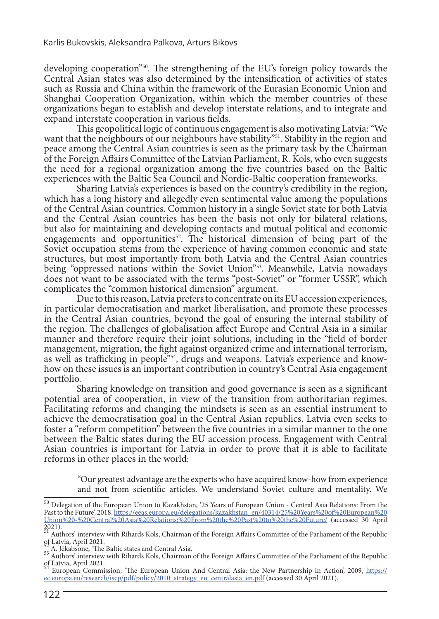developing cooperation"50. The strengthening of the EU's foreign policy towards the Central Asian states was also determined by the intensification of activities of states such as Russia and China within the framework of the Eurasian Economic Union and Shanghai Cooperation Organization, within which the member countries of these organizations began to establish and develop interstate relations, and to integrate and expand interstate cooperation in various fields.

This geopolitical logic of continuous engagement is also motivating Latvia: "We want that the neighbours of our neighbours have stability"<sup>51</sup>. Stability in the region and peace among the Central Asian countries is seen as the primary task by the Chairman of the Foreign Affairs Committee of the Latvian Parliament, R. Kols, who even suggests the need for a regional organization among the five countries based on the Baltic experiences with the Baltic Sea Council and Nordic-Baltic cooperation frameworks.

Sharing Latvia's experiences is based on the country's credibility in the region, which has a long history and allegedly even sentimental value among the populations of the Central Asian countries. Common history in a single Soviet state for both Latvia and the Central Asian countries has been the basis not only for bilateral relations, but also for maintaining and developing contacts and mutual political and economic engagements and opportunities<sup>52</sup>. The historical dimension of being part of the Soviet occupation stems from the experience of having common economic and state structures, but most importantly from both Latvia and the Central Asian countries being "oppressed nations within the Soviet Union"<sup>53</sup>. Meanwhile, Latvia nowadays does not want to be associated with the terms "post-Soviet" or "former USSR", which complicates the "common historical dimension" argument.

Due to this reason, Latvia prefers to concentrate on its EU accession experiences, in particular democratisation and market liberalisation, and promote these processes in the Central Asian countries, beyond the goal of ensuring the internal stability of the region. The challenges of globalisation affect Europe and Central Asia in a similar manner and therefore require their joint solutions, including in the "field of border management, migration, the fight against organized crime and international terrorism, as well as trafficking in people<sup>354</sup>, drugs and weapons. Latvia's experience and knowhow on these issues is an important contribution in country's Central Asia engagement portfolio.

Sharing knowledge on transition and good governance is seen as a significant potential area of cooperation, in view of the transition from authoritarian regimes. Facilitating reforms and changing the mindsets is seen as an essential instrument to achieve the democratisation goal in the Central Asian republics. Latvia even seeks to foster a "reform competition" between the five countries in a similar manner to the one between the Baltic states during the EU accession process. Engagement with Central Asian countries is important for Latvia in order to prove that it is able to facilitate reforms in other places in the world:

"Our greatest advantage are the experts who have acquired know-how from experience and not from scientific articles. We understand Soviet culture and mentality. We

<sup>50</sup> Delegation of the European Union to Kazakhstan, '25 Years of European Union - Central Asia Relations: From the Past to the Future', 2018, [https://eeas.europa.eu/delegations/kazakhstan\\_en/40314/25%20Years%20of%20European%20](https://eeas.europa.eu/delegations/kazakhstan_en/40314/25%20Years%20of%20European%20Union%20-%20Central%20Asia%20Relations:%20From%20the%20Past%20to%20the%20Future/) [Union%20-%20Central%20Asia%20Relations:%20From%20the%20Past%20to%20the%20Future/](https://eeas.europa.eu/delegations/kazakhstan_en/40314/25%20Years%20of%20European%20Union%20-%20Central%20Asia%20Relations:%20From%20the%20Past%20to%20the%20Future/) (accessed 30 April

<sup>2021).&</sup>lt;br><sup>51</sup> Authors' interview with Rihards Kols, Chairman of the Foreign Affairs Committee of the Parliament of the Republic of Latvia, April 2021.

 $52$  A. Jēkabsone, 'The Baltic states and Central Asia'.<br> $53$  Authors' interview with Rihards Kols, Chairman of the Foreign Affairs Committee of the Parliament of the Republic of Latvia, April 2021.

European Commission, 'The European Union And Central Asia: the New Partnership in Action', 2009, [https://](https://ec.europa.eu/research/iscp/pdf/policy/2010_strategy_eu_centralasia_en.pdf) [ec.europa.eu/research/iscp/pdf/policy/2010\\_strategy\\_eu\\_centralasia\\_en.pdf](https://ec.europa.eu/research/iscp/pdf/policy/2010_strategy_eu_centralasia_en.pdf) (accessed 30 April 2021).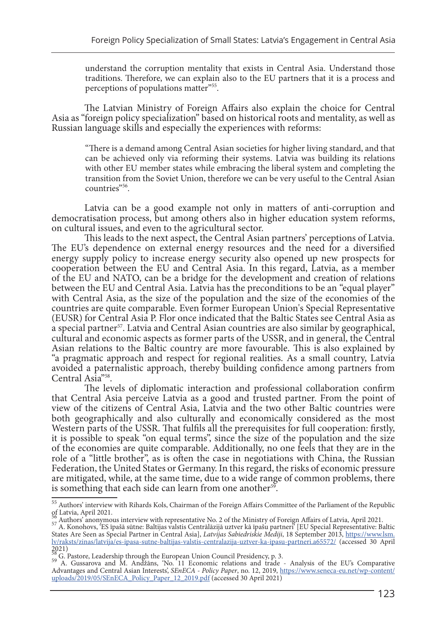understand the corruption mentality that exists in Central Asia. Understand those traditions. Therefore, we can explain also to the EU partners that it is a process and perceptions of populations matter"<sup>55</sup>.

The Latvian Ministry of Foreign Affairs also explain the choice for Central Asia as "foreign policy specialization" based on historical roots and mentality, as well as Russian language skills and especially the experiences with reforms:

"There is a demand among Central Asian societies for higher living standard, and that can be achieved only via reforming their systems. Latvia was building its relations with other EU member states while embracing the liberal system and completing the transition from the Soviet Union, therefore we can be very useful to the Central Asian countries"56.

Latvia can be a good example not only in matters of anti-corruption and democratisation process, but among others also in higher education system reforms, on cultural issues, and even to the agricultural sector.

This leads to the next aspect, the Central Asian partners' perceptions of Latvia. The EU's dependence on external energy resources and the need for a diversified energy supply policy to increase energy security also opened up new prospects for cooperation between the EU and Central Asia. In this regard, Latvia, as a member of the EU and NATO, can be a bridge for the development and creation of relations between the EU and Central Asia. Latvia has the preconditions to be an "equal player" with Central Asia, as the size of the population and the size of the economies of the countries are quite comparable. Even former European Union's Special Representative (EUSR) for Central Asia P. Flor once indicated that the Baltic States see Central Asia as a special partner<sup>57</sup>. Latvia and Central Asian countries are also similar by geographical, cultural and economic aspects as former parts of the USSR, and in general, the Central Asian relations to the Baltic country are more favourable. This is also explained by "a pragmatic approach and respect for regional realities. As a small country, Latvia avoided a paternalistic approach, thereby building confidence among partners from Central Asia"58.

The levels of diplomatic interaction and professional collaboration confirm that Central Asia perceive Latvia as a good and trusted partner. From the point of view of the citizens of Central Asia, Latvia and the two other Baltic countries were both geographically and also culturally and economically considered as the most Western parts of the USSR. That fulfils all the prerequisites for full cooperation: firstly, it is possible to speak "on equal terms", since the size of the population and the size of the economies are quite comparable. Additionally, no one feels that they are in the role of a "little brother", as is often the case in negotiations with China, the Russian Federation, the United States or Germany. In this regard, the risks of economic pressure are mitigated, while, at the same time, due to a wide range of common problems, there is something that each side can learn from one another<sup>59</sup>.

2021)<br> $\frac{58}{20}$  G. Pastore, Leadership through the European Union Council Presidency, p. 3.

<sup>55</sup> Authors' interview with Rihards Kols, Chairman of the Foreign Affairs Committee of the Parliament of the Republic of Latvia, April 2021.

<sup>56&</sup>lt;br>
2021. S7 Authors' anonymous interview with representative No. 2 of the Ministry of Foreign Affairs of Latvia, April 2021.

States Are Seen as Special Partner in Central Asia], *Latvijas Sabiedriskie Mediji*, 18 September 2013, [https://www.lsm.](https://www.lsm.lv/raksts/zinas/latvija/es-ipasa-sutne-baltijas-valstis-centralazija-uztver-ka-ipasu-partneri.a65572/) [lv/raksts/zinas/latvija/es-ipasa-sutne-baltijas-valstis-centralazija-uztver-ka-ipasu-partneri.a65572/](https://www.lsm.lv/raksts/zinas/latvija/es-ipasa-sutne-baltijas-valstis-centralazija-uztver-ka-ipasu-partneri.a65572/) (accessed 30 April

<sup>58</sup> G. Pastore, Leadership through the European Union Council Presidency, p. 3. 59 A. Gussarova and M. Andžāns, 'No. 11 Economic relations and trade - Analysis of the EU's Comparative Advantages and Central Asian Interests', *SEnECA - Policy Paper*, no. 12, 2019, [https://www.seneca-eu.net/wp-content/](https://www.seneca-eu.net/wp-content/uploads/2019/05/SEnECA_Policy_Paper_12_2019.pdf) [uploads/2019/05/SEnECA\\_Policy\\_Paper\\_12\\_2019.pdf](https://www.seneca-eu.net/wp-content/uploads/2019/05/SEnECA_Policy_Paper_12_2019.pdf) (accessed 30 April 2021)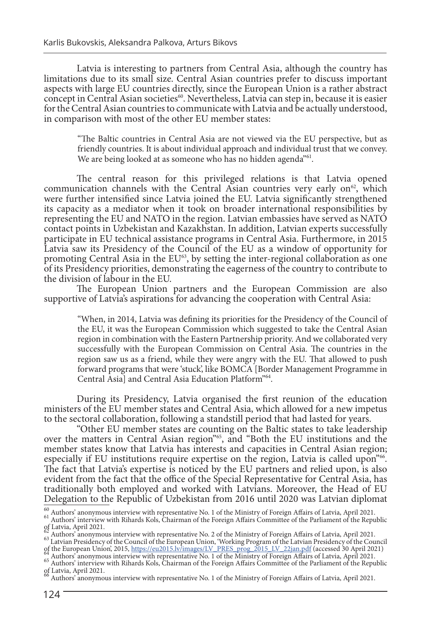Latvia is interesting to partners from Central Asia, although the country has limitations due to its small size. Central Asian countries prefer to discuss important aspects with large EU countries directly, since the European Union is a rather abstract concept in Central Asian societies<sup>60</sup>. Nevertheless, Latvia can step in, because it is easier for the Central Asian countries to communicate with Latvia and be actually understood, in comparison with most of the other EU member states:

"The Baltic countries in Central Asia are not viewed via the EU perspective, but as friendly countries. It is about individual approach and individual trust that we convey. We are being looked at as someone who has no hidden agenda<sup>"61</sup>.

The central reason for this privileged relations is that Latvia opened communication channels with the Central Asian countries very early on<sup>62</sup>, which were further intensified since Latvia joined the EU. Latvia significantly strengthened its capacity as a mediator when it took on broader international responsibilities by representing the EU and NATO in the region. Latvian embassies have served as NATO contact points in Uzbekistan and Kazakhstan. In addition, Latvian experts successfully participate in EU technical assistance programs in Central Asia. Furthermore, in 2015 Latvia saw its Presidency of the Council of the EU as a window of opportunity for promoting Central Asia in the  $EU^{63}$ , by setting the inter-regional collaboration as one of its Presidency priorities, demonstrating the eagerness of the country to contribute to the division of labour in the EU.

The European Union partners and the European Commission are also supportive of Latvia's aspirations for advancing the cooperation with Central Asia:

"When, in 2014, Latvia was defining its priorities for the Presidency of the Council of the EU, it was the European Commission which suggested to take the Central Asian region in combination with the Eastern Partnership priority. And we collaborated very successfully with the European Commission on Central Asia. The countries in the region saw us as a friend, while they were angry with the EU. That allowed to push forward programs that were 'stuck', like BOMCA [Border Management Programme in Central Asia] and Central Asia Education Platform"64.

During its Presidency, Latvia organised the first reunion of the education ministers of the EU member states and Central Asia, which allowed for a new impetus to the sectoral collaboration, following a standstill period that had lasted for years.

"Other EU member states are counting on the Baltic states to take leadership over the matters in Central Asian region"65, and "Both the EU institutions and the member states know that Latvia has interests and capacities in Central Asian region; especially if EU institutions require expertise on the region, Latvia is called upon"<sup>66</sup>.<br>The fact that Latvia's expertise is noticed by the EU partners and relied upon, is also evident from the fact that the office of the Special Representative for Central Asia, has traditionally both employed and worked with Latvians. Moreover, the Head of EU Delegation to the Republic of Uzbekistan from 2016 until 2020 was Latvian diplomat

 $^{60}$  Authors' anonymous interview with representative No. 1 of the Ministry of Foreign Affairs of Latvia, April 2021. Authors' interview with Rihards Kols, Chairman of the Foreign Affairs Committee of the Parliament of of Latvia, April 2021.<br>
of Authors' anonymous interview with representative No. 2 of the Ministry of Foreign Affairs of Latvia, April 2021.

<sup>62&</sup>lt;br>Authors' anonymous interview with representative No. 2 of the Ministry of Foreign Affairs of Latvia, April 2021.<br><sup>63</sup> Latvian Presidency of the Council of the European Union, 'Working Program of the Latvian Presidency o

of the European Union, 2015, <u>https://eu2015.lv/images/LV\_PRES\_prog\_2015\_LV\_22jan.pdf</u> (accessed 30 April 2021)<br><sup>64</sup> Authors' anonymous interview with representative No. 1 of the Ministry of Foreign Affairs of Latvia, Apri

of Latvia, April 2021.

<sup>66</sup> Authors' anonymous interview with representative No. 1 of the Ministry of Foreign Affairs of Latvia, April 2021.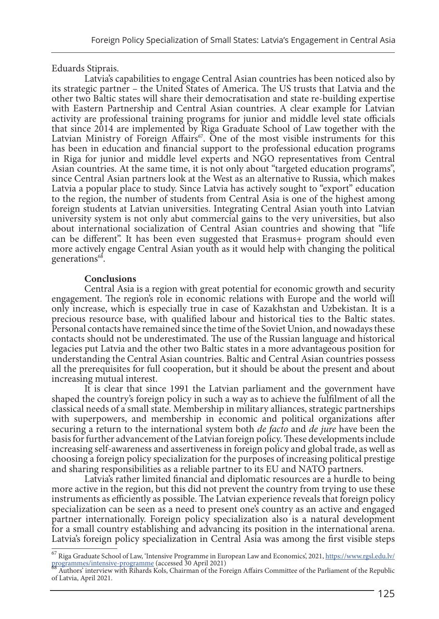Eduards Stiprais.

Latvia's capabilities to engage Central Asian countries has been noticed also by its strategic partner – the United States of America. The US trusts that Latvia and the other two Baltic states will share their democratisation and state re-building expertise with Eastern Partnership and Central Asian countries. A clear example for Latvian activity are professional training programs for junior and middle level state officials that since 2014 are implemented by Riga Graduate School of Law together with the Latvian Ministry of Foreign Affairs<sup> $\sigma$ </sup>. One of the most visible instruments for this has been in education and financial support to the professional education programs in Riga for junior and middle level experts and NGO representatives from Central Asian countries. At the same time, it is not only about "targeted education programs", since Central Asian partners look at the West as an alternative to Russia, which makes Latvia a popular place to study. Since Latvia has actively sought to "export" education to the region, the number of students from Central Asia is one of the highest among foreign students at Latvian universities. Integrating Central Asian youth into Latvian university system is not only abut commercial gains to the very universities, but also about international socialization of Central Asian countries and showing that "life can be different". It has been even suggested that Erasmus+ program should even more actively engage Central Asian youth as it would help with changing the political generations<sup>68</sup>.

#### **Conclusions**

Central Asia is a region with great potential for economic growth and security engagement. The region's role in economic relations with Europe and the world will only increase, which is especially true in case of Kazakhstan and Uzbekistan. It is a precious resource base, with qualified labour and historical ties to the Baltic states. Personal contacts have remained since the time of the Soviet Union, and nowadays these contacts should not be underestimated. The use of the Russian language and historical legacies put Latvia and the other two Baltic states in a more advantageous position for understanding the Central Asian countries. Baltic and Central Asian countries possess all the prerequisites for full cooperation, but it should be about the present and about increasing mutual interest.

It is clear that since 1991 the Latvian parliament and the government have shaped the country's foreign policy in such a way as to achieve the fulfilment of all the classical needs of a small state. Membership in military alliances, strategic partnerships with superpowers, and membership in economic and political organizations after securing a return to the international system both *de facto* and *de jure* have been the basis for further advancement of the Latvian foreign policy. These developments include increasing self-awareness and assertiveness in foreign policy and global trade, as well as choosing a foreign policy specialization for the purposes of increasing political prestige and sharing responsibilities as a reliable partner to its EU and NATO partners.

Latvia's rather limited financial and diplomatic resources are a hurdle to being more active in the region, but this did not prevent the country from trying to use these instruments as efficiently as possible. The Latvian experience reveals that foreign policy specialization can be seen as a need to present one's country as an active and engaged partner internationally. Foreign policy specialization also is a natural development for a small country establishing and advancing its position in the international arena. Latvia's foreign policy specialization in Central Asia was among the first visible steps

 $^{67}$  Riga Graduate School of Law, 'Intensive Programme in European Law and Economics', 2021, [https://www.rgsl.edu.lv/](https://www.rgsl.edu.lv/programmes/intensive-programme) grogrammes/intensive-programme (accessed 30 April 2021)

Authors' interview with Rihards Kols, Chairman of the Foreign Affairs Committee of the Parliament of the Republic of Latvia, April 2021.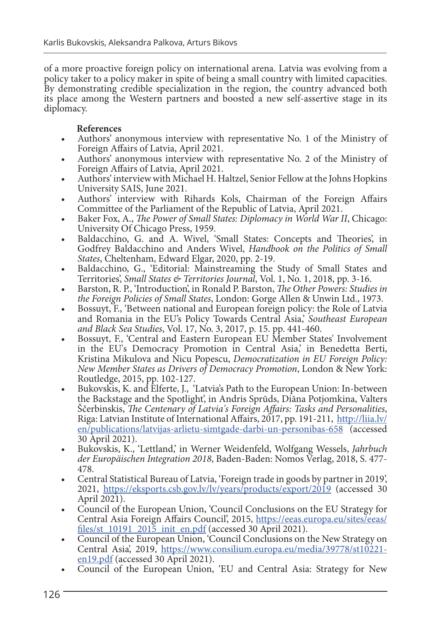of a more proactive foreign policy on international arena. Latvia was evolving from a policy taker to a policy maker in spite of being a small country with limited capacities. By demonstrating credible specialization in the region, the country advanced both its place among the Western partners and boosted a new self-assertive stage in its diplomacy.

### **References**

- Authors' anonymous interview with representative No. 1 of the Ministry of Foreign Affairs of Latvia, April 2021.
- Authors' anonymous interview with representative No. 2 of the Ministry of Foreign Affairs of Latvia, April 2021.
- Authors' interview with Michael H. Haltzel, Senior Fellow at the Johns Hopkins University SAIS, June 2021.
- Authors' interview with Rihards Kols, Chairman of the Foreign Affairs Committee of the Parliament of the Republic of Latvia, April 2021.
- Baker Fox, A., *The Power of Small States: Diplomacy in World War II*, Chicago: University Of Chicago Press, 1959.
- Baldacchino, G. and A. Wivel, 'Small States: Concepts and Theories', in Godfrey Baldacchino and Anders Wivel, *Handbook on the Politics of Small States*, Cheltenham, Edward Elgar, 2020, pp. 2-19.
- Baldacchino, G., 'Editorial: Mainstreaming the Study of Small States and Territories', Small States & Territories Journal, Vol. 1, No. 1, 2018, pp. 3-16.
- Barston, R. P., 'Introduction', in Ronald P. Barston, *The Other Powers: Studies in the Foreign Policies of Small States*, London: Gorge Allen & Unwin Ltd., 1973.
- **•** Bossuyt, F., 'Between national and European foreign policy: the Role of Latvia and Romania in the EU's Policy Towards Central Asia,' *Southeast European*
- Bossuyt, F., 'Central and Eastern European EU Member States' Involvement in the EU's Democracy Promotion in Central Asia,' in Benedetta Berti, Kristina Mikulova and Nicu Popescu, *Democratization in EU Foreign Policy: New Member States as Drivers of Democracy Promotion*, London & New York: Routledge, 2015, pp. 102-127.
- Bukovskis, K. and Elferte, J., 'Latvia's Path to the European Union: In-between the Backstage and the Spotlight', in Andris Sprūds, Diāna Potjomkina, Valters Ščerbinskis, *The Centenary of Latvia's Foreign Affairs: Tasks and Personalities*, Riga: Latvian Institute of International Affairs, 2017, pp. 191-211, [http://liia.lv/](http://liia.lv/en/publications/latvijas-arlietu-simtgade-darbi-un-personibas-658) [en/publications/latvijas-arlietu-simtgade-darbi-un-personibas-658](http://liia.lv/en/publications/latvijas-arlietu-simtgade-darbi-un-personibas-658) (accessed 30 April 2021).
- Bukovskis, K., 'Lettland,' in Werner Weidenfeld, Wolfgang Wessels, *Jahrbuch der Europäischen Integration 2018*, Baden-Baden: Nomos Verlag, 2018, S. 477-
- Central Statistical Bureau of Latvia, 'Foreign trade in goods by partner in 2019', 2021, <https://eksports.csb.gov.lv/lv/years/products/export/2019>(accessed 30 April 2021).
- Council of the European Union, 'Council Conclusions on the EU Strategy for Central Asia Foreign Affairs Council', 2015, [https://eeas.europa.eu/sites/eeas/](https://eeas.europa.eu/sites/eeas/files/st_10191_2015_init_en.pdf) files/st  $10191$   $2015$  init en.pdf (accessed 30 April 2021).
- Council of the European Union, 'Council Conclusions on the New Strategy on Central Asia', 2019, [https://www.consilium.europa.eu/media/39778/st10221](https://www.consilium.europa.eu/media/39778/st10221-en19.pdf) [en19.pdf](https://www.consilium.europa.eu/media/39778/st10221-en19.pdf) (accessed 30 April 2021).
- Council of the European Union, 'EU and Central Asia: Strategy for New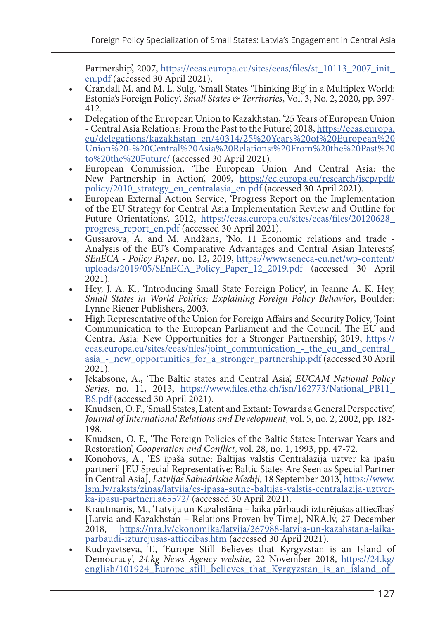Partnership', 2007, [https://eeas.europa.eu/sites/eeas/files/st\\_10113\\_2007\\_init\\_](https://eeas.europa.eu/sites/eeas/files/st_10113_2007_init_en.pdf)<br>en.pdf (accessed 30 April 2021).

- Crandall M. and M. L. Sulg, 'Small States 'Thinking Big' in a Multiplex World: Estonia's Foreign Policy', *Small States & Territories*, Vol. 3, No. 2, 2020, pp. 397-
- Delegation of the European Union to Kazakhstan, '25 Years of European Union - Central Asia Relations: From the Past to the Future', 2018, [https://eeas.europa.](https://eeas.europa.eu/delegations/kazakhstan_en/40314/25%20Years%20of%20European%20Union%20-%20Central%20Asia%20Relations:%20From%20the%20Past%20to%20the%20Future/) [eu/delegations/kazakhstan\\_en/40314/25%20Years%20of%20European%20](https://eeas.europa.eu/delegations/kazakhstan_en/40314/25%20Years%20of%20European%20Union%20-%20Central%20Asia%20Relations:%20From%20the%20Past%20to%20the%20Future/) [Union%20-%20Central%20Asia%20Relations:%20From%20the%20Past%20](https://eeas.europa.eu/delegations/kazakhstan_en/40314/25%20Years%20of%20European%20Union%20-%20Central%20Asia%20Relations:%20From%20the%20Past%20to%20the%20Future/) [to%20the%20Future/](https://eeas.europa.eu/delegations/kazakhstan_en/40314/25%20Years%20of%20European%20Union%20-%20Central%20Asia%20Relations:%20From%20the%20Past%20to%20the%20Future/) (accessed 30 April 2021).
- European Commission, 'The European Union And Central Asia: the New Partnership in Action', 2009, [https://ec.europa.eu/research/iscp/pdf/](https://ec.europa.eu/research/iscp/pdf/policy/2010_strategy_eu_centralasia_en.pdf) [policy/2010\\_strategy\\_eu\\_centralasia\\_en.pdf](https://ec.europa.eu/research/iscp/pdf/policy/2010_strategy_eu_centralasia_en.pdf) (accessed 30 April 2021).
- European External Action Service, 'Progress Report on the Implementation of the EU Strategy for Central Asia Implementation Review and Outline for Future Orientations', 2012, [https://eeas.europa.eu/sites/eeas/files/20120628\\_](https://eeas.europa.eu/sites/eeas/files/20120628_progress_report_en.pdf) progress report en.pdf (accessed 30 April 2021).
- Gussarova, A. and M. Andžāns, 'No. 11 Economic relations and trade Analysis of the EU's Comparative Advantages and Central Asian Interests', *SEnECA - Policy Paper*, no. 12, 2019, [https://www.seneca-eu.net/wp-content/](https://www.seneca-eu.net/wp-content/uploads/2019/05/SEnECA_Policy_Paper_12_2019.pdf) [uploads/2019/05/SEnECA\\_Policy\\_Paper\\_12\\_2019.pdf](https://www.seneca-eu.net/wp-content/uploads/2019/05/SEnECA_Policy_Paper_12_2019.pdf) (accessed 30 April 2021).
- Hey, J. A. K., 'Introducing Small State Foreign Policy', in Jeanne A. K. Hey, *Small States in World Politics: Explaining Foreign Policy Behavior*, Boulder:
- High Representative of the Union for Foreign Affairs and Security Policy, 'Joint' Communication to the European Parliament and the Council. The EU and Central Asia: New Opportunities for a Stronger Partnership', 2019, [https://](https://eeas.europa.eu/sites/eeas/files/joint_communication_-_the_eu_and_central_asia_-_new_opportunities_for_a_stronger_partnership.pdf) eeas.europa.eu/sites/eeas/files/joint\_communication - the\_eu\_and\_central asia - new opportunities for a stronger partnership.pdf (accessed 30 April 2021).
- Jēkabsone, A., 'The Baltic states and Central Asia', *EUCAM National Policy Series*, no. 11, 2013, [https://www.files.ethz.ch/isn/162773/National\\_PB11\\_](https://www.files.ethz.ch/isn/162773/National_PB11_BS.pdf) [BS.pdf](https://www.files.ethz.ch/isn/162773/National_PB11_BS.pdf) (accessed 30 April 2021).
- Knudsen, O. F., 'Small States, Latent and Extant: Towards a General Perspective', *Journal of International Relations and Development*, vol. 5, no. 2, 2002, pp. 182- 198.
- Knudsen, O. F., 'The Foreign Policies of the Baltic States: Interwar Years and Restoration, *Cooperation and Conflict*, vol. 28, no. 1, 1993, pp. 47-72.
- Restoration', *Cooperation and Conflict*, vol. 28, no. 1, 1993, pp. 47-72. Konohovs, A., 'ES īpašā sūtne: Baltijas valstis Centrālāzijā uztver kā īpašu partneri' [EU Special Representative: Baltic States Are Seen as Special Partner in Central Asia], *Latvijas Sabiedriskie Mediji*, 18 September 2013, [https://www.](https://www.lsm.lv/raksts/zinas/latvija/es-ipasa-sutne-baltijas-valstis-centralazija-uztver-ka-ipasu-partneri.a65572/) [lsm.lv/raksts/zinas/latvija/es-ipasa-sutne-baltijas-valstis-centralazija-uztver-](https://www.lsm.lv/raksts/zinas/latvija/es-ipasa-sutne-baltijas-valstis-centralazija-uztver-ka-ipasu-partneri.a65572/)
- Krautmanis, M., 'Latvija un Kazahstāna laika pārbaudi izturējušas attiecības' [Latvia and Kazakhstan – Relations Proven by Time], NRA.lv, 27 December 2018, https://nra.lv/ekonomika/latvija/267988-latvija-un-kazahstana-laika-2018, [https://nra.lv/ekonomika/latvija/267988-latvija-un-kazahstana-laika](https://nra.lv/ekonomika/latvija/267988-latvija-un-kazahstana-laika-parbaudi-izturejusas-attiecibas.htm)[parbaudi-izturejusas-attiecibas.htm](https://nra.lv/ekonomika/latvija/267988-latvija-un-kazahstana-laika-parbaudi-izturejusas-attiecibas.htm) (accessed 30 April 2021).
- Kudryavtseva, T., 'Europe Still Believes that Kyrgyzstan is an Island of Democracy', *24.kg News Agency website*, 22 November 2018, [https://24.kg/](https://24.kg/english/101924_Europe_still_believes_that_Kyrgyzstan_is_an_island_of_democracy/) english/101924\_Europe\_still\_believes\_that\_Kyrgyzstan\_is\_an\_island\_of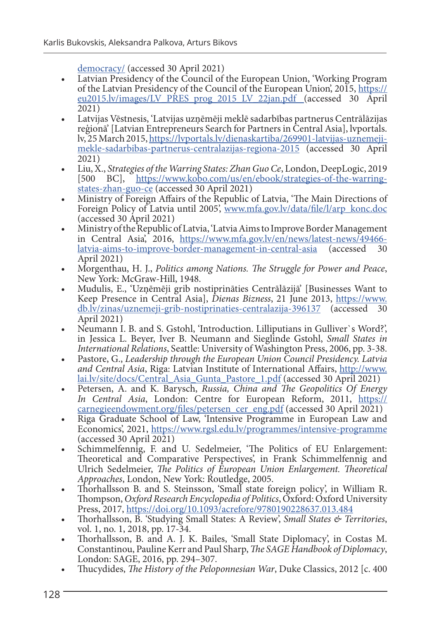- [democracy/](https://24.kg/english/101924_Europe_still_believes_that_Kyrgyzstan_is_an_island_of_democracy/) (accessed 30 April 2021)<br>
 Latvian Presidency of the Council of the European Union, 'Working Program of the Latvian Presidency of the Council of the European Union', 2015, [https://](https://eu2015.lv/images/LV_PRES_prog_2015_LV_22jan.pdf ) [eu2015.lv/images/LV\\_PRES\\_prog\\_2015\\_LV\\_22jan.pdf \(](https://eu2015.lv/images/LV_PRES_prog_2015_LV_22jan.pdf )accessed 30 April<br>2021)
- 2021) Latvijas Vēstnesis, 'Latvijas uzņēmēji meklē sadarbības partnerus Centrālāzijas reģionā' [Latvian Entrepreneurs Search for Partners in Central Asia], lvportals. lv, 25 March 2015, [https://lvportals.lv/dienaskartiba/269901-latvijas-uznemeji](https://lvportals.lv/dienaskartiba/269901-latvijas-uznemeji-mekle-sadarbibas-partnerus-centralazijas-regiona-2015)[mekle-sadarbibas-partnerus-centralazijas-regiona-2015](https://lvportals.lv/dienaskartiba/269901-latvijas-uznemeji-mekle-sadarbibas-partnerus-centralazijas-regiona-2015) (accessed 30 April 2021)
- Liu, X., *Strategies of the Warring States: Zhan Guo Ce*, London, DeepLogic, 2019 [500 BC], [https://www.kobo.com/us/en/ebook/strategies-of-the-warring](https://www.kobo.com/us/en/ebook/strategies-of-the-warring-states-zhan-guo-ce)[states-zhan-guo-ce](https://www.kobo.com/us/en/ebook/strategies-of-the-warring-states-zhan-guo-ce) (accessed 30 April 2021)
- Ministry of Foreign Affairs of the Republic of Latvia, 'The Main Directions of Foreign Policy of Latvia until 2005', [www.mfa.gov.lv/data/file/l/arp\\_konc.doc](http://www.mfa.gov.lv/data/file/l/arp_konc.doc) (accessed 30 April 2021)
- Ministry of the Republic of Latvia, 'Latvia Aims to Improve Border Management in Central Asia, 2016, https://www.mfa.gov.ly/en/news/latest-news/49466-<br>latvia-aims-to-improve-border-management-in-central-asia (accessed 30 [latvia-aims-to-improve-border-management-in-central-asia](https://www.mfa.gov.lv/en/news/latest-news/49466-latvia-aims-to-improve-border-management-in-central-asia) April 2021)
- Morgenthau, H. J., *Politics among Nations. The Struggle for Power and Peace*,
- Mudulis, E., 'Uzņēmēji grib nostiprināties Centrālāzijā' [Businesses Want to Keep Presence in Central Asia], *Dienas Bizness*, 21 June 2013, [https://www.](https://www.db.lv/zinas/uznemeji-grib-nostiprinaties-centralazija-396137) [db.lv/zinas/uznemeji-grib-nostiprinaties-centralazija-396137](https://www.db.lv/zinas/uznemeji-grib-nostiprinaties-centralazija-396137) (accessed 30 April 2021)
- Neumann I. B. and S. Gstohl, 'Introduction. Lilliputians in Gulliver's Word?', in Jessica L. Beyer, Iver B. Neumann and Sieglinde Gstohl, *Small States in International Relations*, Seattle: University of Washington Press, 2006, pp. 3-38.
- Pastore, G., *Leadership through the European Union Council Presidency. Latvia and Central Asia*, Riga: Latvian Institute of International Affairs, [http://www.](http://www.lai.lv/site/docs/Central_Asia_Gunta_Pastore_1.pdf) [lai.lv/site/docs/Central\\_Asia\\_Gunta\\_Pastore\\_1.pdf](http://www.lai.lv/site/docs/Central_Asia_Gunta_Pastore_1.pdf) (accessed 30 April 2021)
- Petersen, A. and K. Barysch, *Russia, China and The Geopolitics Of Energy In Central Asia*, London: Centre for European Reform, 2011, [https://](https://carnegieendowment.org/files/petersen_cer_eng.pdf) [carnegieendowment.org/files/petersen\\_cer\\_eng.pdf](https://carnegieendowment.org/files/petersen_cer_eng.pdf) (accessed 30 April 2021)
- Riga Graduate School of Law, 'Intensive Programme in European Law and Economics', 2021, <https://www.rgsl.edu.lv/programmes/intensive-programme> (accessed 30 April 2021)
- Schimmelfennig, F. and U. Sedelmeier, 'The Politics of EU Enlargement: Theoretical and Comparative Perspectives', in Frank Schimmelfennig and Ulrich Sedelmeier, *The Politics of European Union Enlargement. Theoretical*
- Thorhallsson B. and S. Steinsson, 'Small state foreign policy', in William R. Thompson, *Oxford Research Encyclopedia of Politics*, Oxford: Oxford University Press, 2017, <https://doi.org/10.1093/acrefore/9780190228637.013.484>
- Thorhallsson, B. 'Studying Small States: A Review', *Small States & Territories*, vol. 1, no. 1, 2018, pp. 17-34.
- Thorhallsson, B. and A. J. K. Bailes, 'Small State Diplomacy', in Costas M. Constantinou, Pauline Kerr and Paul Sharp, *The SAGE Handbook of Diplomacy*, London: SAGE, 2016, pp. 294–307.
- Thucydides, *The History of the Peloponnesian War*, Duke Classics, 2012 [c. 400